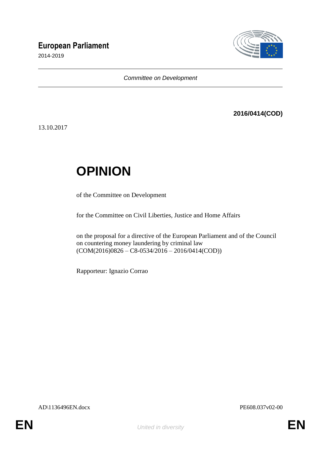# **European Parliament**

2014-2019



*Committee on Development*

# **2016/0414(COD)**

13.10.2017

# **OPINION**

of the Committee on Development

for the Committee on Civil Liberties, Justice and Home Affairs

on the proposal for a directive of the European Parliament and of the Council on countering money laundering by criminal law  $(COM(2016)0826 - C8-0534/2016 - 2016/0414(COD))$ 

Rapporteur: Ignazio Corrao

AD\1136496EN.docx PE608.037v02-00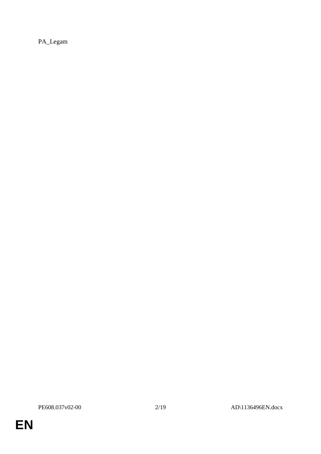PA\_Legam

**EN**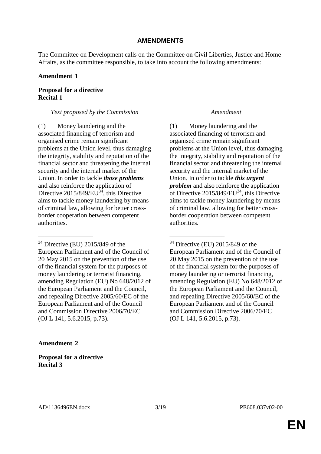### **AMENDMENTS**

The Committee on Development calls on the Committee on Civil Liberties, Justice and Home Affairs, as the committee responsible, to take into account the following amendments:

### **Amendment 1**

### **Proposal for a directive Recital 1**

### *Text proposed by the Commission Amendment*

(1) Money laundering and the associated financing of terrorism and organised crime remain significant problems at the Union level, thus damaging the integrity, stability and reputation of the financial sector and threatening the internal security and the internal market of the Union. In order to tackle *those problems* and also reinforce the application of Directive  $2015/849/EU^{34}$ , this Directive aims to tackle money laundering by means of criminal law, allowing for better crossborder cooperation between competent authorities.

 $34$  Directive (EU) 2015/849 of the European Parliament and of the Council of 20 May 2015 on the prevention of the use of the financial system for the purposes of money laundering or terrorist financing, amending Regulation (EU) No 648/2012 of the European Parliament and the Council, and repealing Directive 2005/60/EC of the European Parliament and of the Council and Commission Directive 2006/70/EC (OJ L 141, 5.6.2015, p.73).

\_\_\_\_\_\_\_\_\_\_\_\_\_\_\_\_\_ \_\_\_\_\_\_\_\_\_\_\_\_\_\_\_\_\_

(1) Money laundering and the associated financing of terrorism and organised crime remain significant problems at the Union level, thus damaging the integrity, stability and reputation of the financial sector and threatening the internal security and the internal market of the Union. In order to tackle *this urgent problem* and also reinforce the application of Directive  $2015/849/EU^{34}$ , this Directive aims to tackle money laundering by means of criminal law, allowing for better crossborder cooperation between competent authorities.

 $34$  Directive (EU) 2015/849 of the European Parliament and of the Council of 20 May 2015 on the prevention of the use of the financial system for the purposes of money laundering or terrorist financing, amending Regulation (EU) No 648/2012 of the European Parliament and the Council, and repealing Directive 2005/60/EC of the European Parliament and of the Council and Commission Directive 2006/70/EC (OJ L 141, 5.6.2015, p.73).

### **Amendment 2**

**Proposal for a directive Recital 3**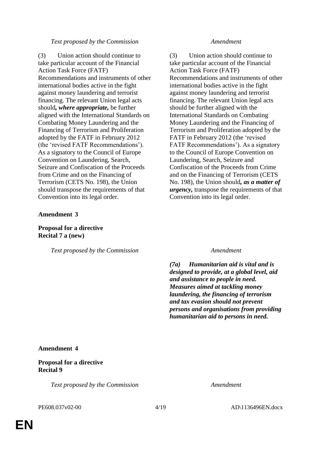### *Text proposed by the Commission Amendment*

(3) Union action should continue to take particular account of the Financial Action Task Force (FATF) Recommendations and instruments of other international bodies active in the fight against money laundering and terrorist financing. The relevant Union legal acts should*, where appropriate,* be further aligned with the International Standards on Combating Money Laundering and the Financing of Terrorism and Proliferation adopted by the FATF in February 2012 (the 'revised FATF Recommendations'). As a signatory to the Council of Europe Convention on Laundering, Search, Seizure and Confiscation of the Proceeds from Crime and on the Financing of Terrorism (CETS No. 198), the Union should transpose the requirements of that Convention into its legal order.

### **Amendment 3**

### **Proposal for a directive Recital 7 a (new)**

*Text proposed by the Commission Amendment*

(3) Union action should continue to take particular account of the Financial Action Task Force (FATF) Recommendations and instruments of other international bodies active in the fight against money laundering and terrorist financing. The relevant Union legal acts should be further aligned with the International Standards on Combating Money Laundering and the Financing of Terrorism and Proliferation adopted by the FATF in February 2012 (the 'revised FATF Recommendations'). As a signatory to the Council of Europe Convention on Laundering, Search, Seizure and Confiscation of the Proceeds from Crime and on the Financing of Terrorism (CETS No. 198), the Union should*, as a matter of urgency,* transpose the requirements of that Convention into its legal order.

*(7a) Humanitarian aid is vital and is designed to provide, at a global level, aid and assistance to people in need. Measures aimed at tackling money laundering, the financing of terrorism and tax evasion should not prevent persons and organisations from providing humanitarian aid to persons in need.*

### **Amendment 4**

### **Proposal for a directive Recital 9**

*Text proposed by the Commission Amendment*

PE608.037v02-00 4/19 AD\1136496EN.docx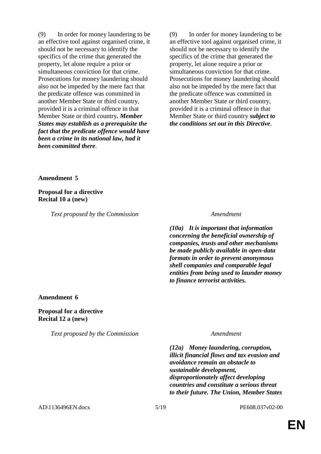(9) In order for money laundering to be an effective tool against organised crime, it should not be necessary to identify the specifics of the crime that generated the property, let alone require a prior or simultaneous conviction for that crime. Prosecutions for money laundering should also not be impeded by the mere fact that the predicate offence was committed in another Member State or third country, provided it is a criminal offence in that Member State or third country*. Member States may establish as a prerequisite the fact that the predicate offence would have been a crime in its national law, had it been committed there*.

(9) In order for money laundering to be an effective tool against organised crime, it should not be necessary to identify the specifics of the crime that generated the property, let alone require a prior or simultaneous conviction for that crime. Prosecutions for money laundering should also not be impeded by the mere fact that the predicate offence was committed in another Member State or third country, provided it is a criminal offence in that Member State or third country *subject to the conditions set out in this Directive*.

**Amendment 5**

**Proposal for a directive Recital 10 a (new)**

*Text proposed by the Commission Amendment*

*(10a) It is important that information concerning the beneficial ownership of companies, trusts and other mechanisms be made publicly available in open-data formats in order to prevent anonymous shell companies and comparable legal entities from being used to launder money to finance terrorist activities.*

### **Amendment 6**

**Proposal for a directive Recital 12 a (new)**

*Text proposed by the Commission Amendment*

*(12a) Money laundering, corruption, illicit financial flows and tax evasion and avoidance remain an obstacle to sustainable development, disproportionately affect developing countries and constitute a serious threat to their future. The Union, Member States*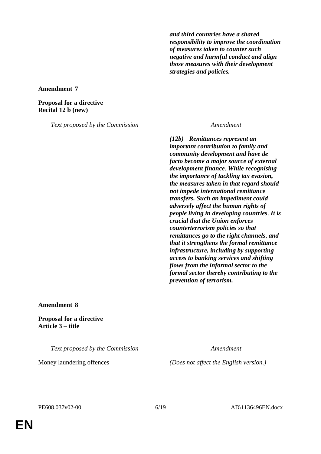*and third countries have a shared responsibility to improve the coordination of measures taken to counter such negative and harmful conduct and align those measures with their development strategies and policies.*

**Amendment 7**

**Proposal for a directive Recital 12 b (new)**

*Text proposed by the Commission Amendment*

*(12b) Remittances represent an important contribution to family and community development and have de facto become a major source of external development finance*. *While recognising the importance of tackling tax evasion, the measures taken in that regard should not impede international remittance transfers. Such an impediment could adversely affect the human rights of people living in developing countries*. *It is crucial that the Union enforces counterterrorism policies so that remittances go to the right channels*, *and that it* s*trengthens the formal remittance infrastructure, including by supporting access to banking services and shifting flows from the informal sector to the formal sector thereby contributing to the prevention of terrorism.*

**Amendment 8**

**Proposal for a directive Article 3 – title**

*Text proposed by the Commission Amendment*

Money laundering offences *(Does not affect the English version.)*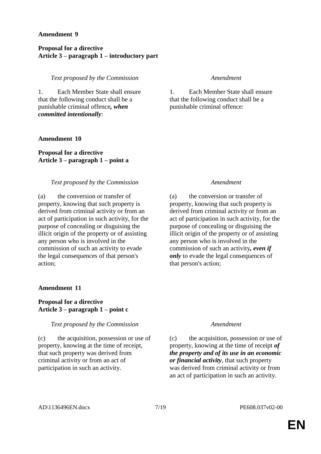### **Amendment 9**

### **Proposal for a directive Article 3 – paragraph 1 – introductory part**

*Text proposed by the Commission Amendment*

1. Each Member State shall ensure that the following conduct shall be a punishable criminal offence*, when committed intentionally*:

### **Amendment 10**

**Proposal for a directive Article 3 – paragraph 1 – point a**

### *Text proposed by the Commission Amendment*

(a) the conversion or transfer of property, knowing that such property is derived from criminal activity or from an act of participation in such activity, for the purpose of concealing or disguising the illicit origin of the property or of assisting any person who is involved in the commission of such an activity to evade the legal consequences of that person's action;

### **Amendment 11**

### **Proposal for a directive Article 3 – paragraph 1 – point c**

### *Text proposed by the Commission Amendment*

(c) the acquisition, possession or use of property, knowing at the time of receipt, that such property was derived from criminal activity or from an act of participation in such an activity.

1. Each Member State shall ensure that the following conduct shall be a punishable criminal offence:

(a) the conversion or transfer of property, knowing that such property is derived from criminal activity or from an act of participation in such activity, for the purpose of concealing or disguising the illicit origin of the property or of assisting any person who is involved in the commission of such an activity*, even if only* to evade the legal consequences of that person's action;

(c) the acquisition, possession or use of property, knowing at the time of receipt *of the property and of its use in an economic or financial activity*, that such property was derived from criminal activity or from an act of participation in such an activity.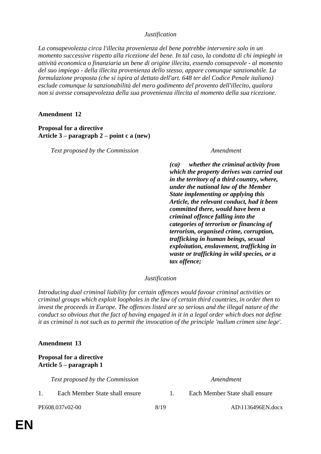### *Justification*

*La consapevolezza circa l'illecita provenienza del bene potrebbe intervenire solo in un momento successive rispetto alla ricezione del bene. In tal caso, la condotta di chi impieghi in attività economica o finanziaria un bene di origine illecita, essendo consapevole - al momento del suo impiego - della illecita provenienza dello stesso, appare comunque sanzionabile. La formulazione proposta (che si ispira al dettato dell'art. 648 ter del Codice Penale italiano) esclude comunque la sanzionabilità del mero godimento del provento dell'illecito, qualora non si avesse consapevolezza della sua provenienza illecita al momento della sua ricezione.*

### **Amendment 12**

### **Proposal for a directive Article 3 – paragraph 2 – point c a (new)**

*Text proposed by the Commission Amendment*

*(ca) whether the criminal activity from which the property derives was carried out in the territory of a third country, where, under the national law of the Member State implementing or applying this Article, the relevant conduct, had it been committed there, would have been a criminal offence falling into the categories of terrorism or financing of terrorism, organised crime, corruption, trafficking in human beings, sexual exploitation, enslavement, trafficking in waste or trafficking in wild species, or a tax offence;*

### *Justification*

*Introducing dual criminal liability for certain offences would favour criminal activities or criminal groups which exploit loopholes in the law of certain third countries, in order then to invest the proceeds in Europe. The offences listed are so serious and the illegal nature of the conduct so obvious that the fact of having engaged in it in a legal order which does not define it as criminal is not such as to permit the invocation of the principle 'nullum crimen sine lege'.*

### **Amendment 13**

### **Proposal for a directive Article 5 – paragraph 1**

*Text proposed by the Commission Amendment*

- 
- 1. Each Member State shall ensure 1. Each Member State shall ensure

PE608.037v02-00 8/19 8/19 AD\1136496EN.docx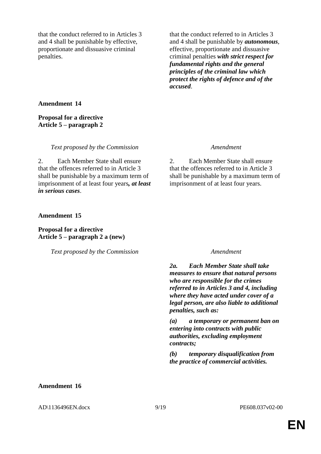that the conduct referred to in Articles 3 and 4 shall be punishable by effective, proportionate and dissuasive criminal penalties.

that the conduct referred to in Articles 3 and 4 shall be punishable by *autonomous*, effective, proportionate and dissuasive criminal penalties *with strict respect for fundamental rights and the general principles of the criminal law which protect the rights of defence and of the accused*.

### **Amendment 14**

### **Proposal for a directive Article 5 – paragraph 2**

*Text proposed by the Commission Amendment*

2. Each Member State shall ensure that the offences referred to in Article 3 shall be punishable by a maximum term of imprisonment of at least four years*, at least in serious cases*.

2. Each Member State shall ensure that the offences referred to in Article 3 shall be punishable by a maximum term of imprisonment of at least four years.

### **Amendment 15**

**Proposal for a directive Article 5 – paragraph 2 a (new)**

*Text proposed by the Commission Amendment*

*2a. Each Member State shall take measures to ensure that natural persons who are responsible for the crimes referred to in Articles 3 and 4, including where they have acted under cover of a legal person, are also liable to additional penalties, such as:*

*(a) a temporary or permanent ban on entering into contracts with public authorities, excluding employment contracts;*

*(b) temporary disqualification from the practice of commercial activities.*

### **Amendment 16**

AD\1136496EN.docx 9/19 PE608.037v02-00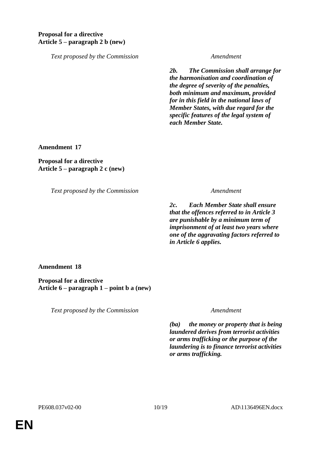### **Proposal for a directive Article 5 – paragraph 2 b (new)**

*Text proposed by the Commission Amendment*

*2b. The Commission shall arrange for the harmonisation and coordination of the degree of severity of the penalties, both minimum and maximum, provided for in this field in the national laws of Member States, with due regard for the specific features of the legal system of each Member State.*

**Amendment 17**

**Proposal for a directive Article 5 – paragraph 2 c (new)**

*Text proposed by the Commission Amendment*

*2c. Each Member State shall ensure that the offences referred to in Article 3 are punishable by a minimum term of imprisonment of at least two years where one of the aggravating factors referred to in Article 6 applies.*

**Amendment 18**

**Proposal for a directive Article 6 – paragraph 1 – point b a (new)**

*Text proposed by the Commission Amendment*

*(ba) the money or property that is being laundered derives from terrorist activities or arms trafficking or the purpose of the laundering is to finance terrorist activities or arms trafficking.*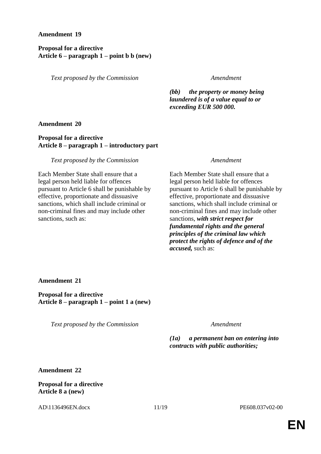### **Amendment 19**

### **Proposal for a directive Article 6 – paragraph 1 – point b b (new)**

*Text proposed by the Commission Amendment*

*(bb) the property or money being laundered is of a value equal to or exceeding EUR 500 000.*

**Amendment 20**

### **Proposal for a directive Article 8 – paragraph 1 – introductory part**

*Text proposed by the Commission Amendment*

Each Member State shall ensure that a legal person held liable for offences pursuant to Article 6 shall be punishable by effective, proportionate and dissuasive sanctions, which shall include criminal or non-criminal fines and may include other sanctions, such as:

Each Member State shall ensure that a legal person held liable for offences pursuant to Article 6 shall be punishable by effective, proportionate and dissuasive sanctions, which shall include criminal or non-criminal fines and may include other sanctions, *with strict respect for fundamental rights and the general principles of the criminal law which protect the rights of defence and of the accused,* such as:

**Amendment 21**

**Proposal for a directive Article 8 – paragraph 1 – point 1 a (new)**

*Text proposed by the Commission Amendment*

*(1a) a permanent ban on entering into contracts with public authorities;*

**Amendment 22**

**Proposal for a directive Article 8 a (new)**

AD\1136496EN.docx 11/19 PE608.037v02-00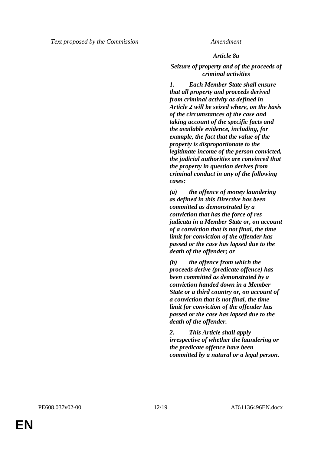### *Article 8a*

*Seizure of property and of the proceeds of criminal activities*

*1. Each Member State shall ensure that all property and proceeds derived from criminal activity as defined in Article 2 will be seized where, on the basis of the circumstances of the case and taking account of the specific facts and the available evidence, including, for example, the fact that the value of the property is disproportionate to the legitimate income of the person convicted, the judicial authorities are convinced that the property in question derives from criminal conduct in any of the following cases:*

*(a) the offence of money laundering as defined in this Directive has been committed as demonstrated by a conviction that has the force of res judicata in a Member State or, on account of a conviction that is not final, the time limit for conviction of the offender has passed or the case has lapsed due to the death of the offender; or*

*(b) the offence from which the proceeds derive (predicate offence) has been committed as demonstrated by a conviction handed down in a Member State or a third country or, on account of a conviction that is not final, the time limit for conviction of the offender has passed or the case has lapsed due to the death of the offender.*

*2. This Article shall apply irrespective of whether the laundering or the predicate offence have been committed by a natural or a legal person.*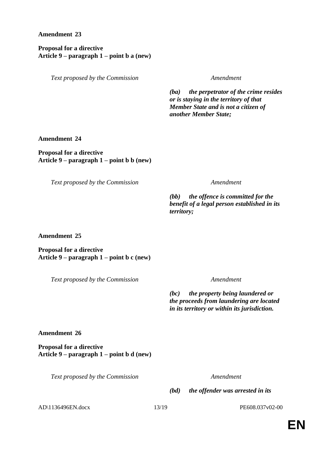### **Amendment 23**

**Proposal for a directive Article 9 – paragraph 1 – point b a (new)**

*Text proposed by the Commission Amendment*

*(ba) the perpetrator of the crime resides or is staying in the territory of that Member State and is not a citizen of another Member State;* 

### **Amendment 24**

**Proposal for a directive Article 9 – paragraph 1 – point b b (new)**

*Text proposed by the Commission Amendment*

*(bb) the offence is committed for the benefit of a legal person established in its territory;*

**Amendment 25**

**Proposal for a directive Article 9 – paragraph 1 – point b c (new)**

*Text proposed by the Commission Amendment*

*(bc) the property being laundered or the proceeds from laundering are located in its territory or within its jurisdiction.*

**Amendment 26**

**Proposal for a directive Article 9 – paragraph 1 – point b d (new)**

*Text proposed by the Commission Amendment*

*(bd) the offender was arrested in its* 

AD\1136496EN.docx 13/19 PE608.037v02-00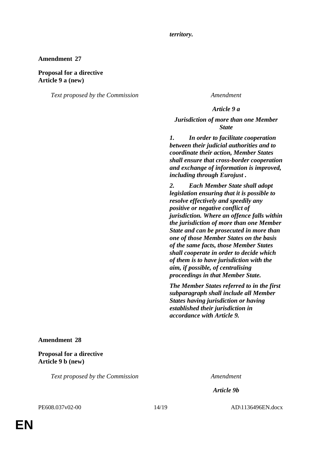*territory.*

### **Amendment 27**

### **Proposal for a directive Article 9 a (new)**

*Text proposed by the Commission Amendment*

### *Article 9 a*

### *Jurisdiction of more than one Member State*

*1. In order to facilitate cooperation between their judicial authorities and to coordinate their action, Member States shall ensure that cross-border cooperation and exchange of information is improved, including through Eurojust .* 

*2. Each Member State shall adopt legislation ensuring that it is possible to resolve effectively and speedily any positive or negative conflict of jurisdiction. Where an offence falls within the jurisdiction of more than one Member State and can be prosecuted in more than one of those Member States on the basis of the same facts, those Member States shall cooperate in order to decide which of them is to have jurisdiction with the aim, if possible, of centralising proceedings in that Member State.* 

*The Member States referred to in the first subparagraph shall include all Member States having jurisdiction or having established their jurisdiction in accordance with Article 9.*

### **Amendment 28**

### **Proposal for a directive Article 9 b (new)**

*Text proposed by the Commission Amendment*

*Article 9b*

PE608.037v02-00 14/19 AD\1136496EN.docx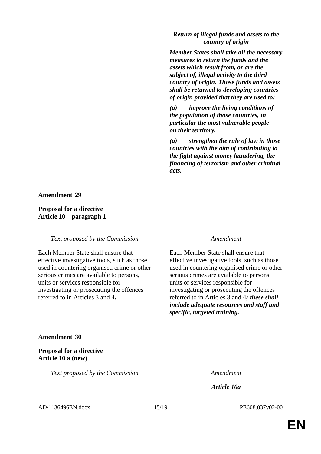### *Return of illegal funds and assets to the country of origin*

*Member States shall take all the necessary measures to return the funds and the assets which result from, or are the subject of, illegal activity to the third country of origin. Those funds and assets shall be returned to developing countries of origin provided that they are used to:*

*(a) improve the living conditions of the population of those countries, in particular the most vulnerable people on their territory,*

*(a) strengthen the rule of law in those countries with the aim of contributing to the fight against money laundering, the financing of terrorism and other criminal acts.*

### **Amendment 29**

### **Proposal for a directive Article 10 – paragraph 1**

### *Text proposed by the Commission Amendment*

Each Member State shall ensure that effective investigative tools, such as those used in countering organised crime or other serious crimes are available to persons, units or services responsible for investigating or prosecuting the offences referred to in Articles 3 and 4*.*

Each Member State shall ensure that effective investigative tools, such as those used in countering organised crime or other serious crimes are available to persons, units or services responsible for investigating or prosecuting the offences referred to in Articles 3 and 4*; these shall include adequate resources and staff and specific, targeted training.*

### **Amendment 30**

**Proposal for a directive Article 10 a (new)**

*Text proposed by the Commission Amendment*

*Article 10a*

AD\1136496EN.docx 15/19 PE608.037v02-00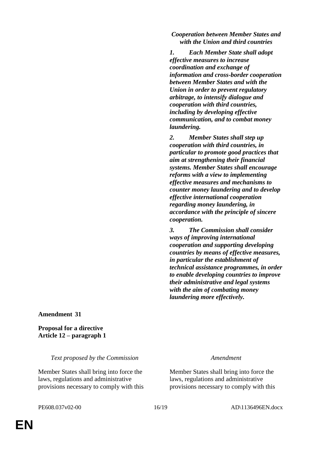*Cooperation between Member States and with the Union and third countries*

*1. Each Member State shall adopt effective measures to increase coordination and exchange of information and cross-border cooperation between Member States and with the Union in order to prevent regulatory arbitrage, to intensify dialogue and cooperation with third countries, including by developing effective communication, and to combat money laundering.*

*2. Member States shall step up cooperation with third countries, in particular to promote good practices that aim at strengthening their financial systems. Member States shall encourage reforms with a view to implementing effective measures and mechanisms to counter money laundering and to develop effective international cooperation regarding money laundering, in accordance with the principle of sincere cooperation.*

*3. The Commission shall consider ways of improving international cooperation and supporting developing countries by means of effective measures, in particular the establishment of technical assistance programmes, in order to enable developing countries to improve their administrative and legal systems with the aim of combating money laundering more effectively.*

**Amendment 31**

**Proposal for a directive Article 12 – paragraph 1**

*Text proposed by the Commission Amendment*

Member States shall bring into force the laws, regulations and administrative provisions necessary to comply with this

Member States shall bring into force the laws, regulations and administrative provisions necessary to comply with this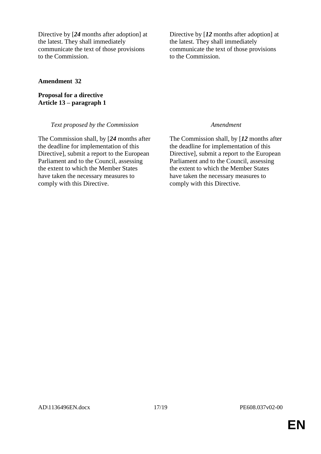Directive by [*24* months after adoption] at the latest. They shall immediately communicate the text of those provisions to the Commission.

**Amendment 32**

**Proposal for a directive Article 13 – paragraph 1**

### *Text proposed by the Commission Amendment*

The Commission shall, by [*24* months after the deadline for implementation of this Directive], submit a report to the European Parliament and to the Council, assessing the extent to which the Member States have taken the necessary measures to comply with this Directive.

Directive by [12 months after adoption] at the latest. They shall immediately communicate the text of those provisions to the Commission.

The Commission shall, by [*12* months after the deadline for implementation of this Directive], submit a report to the European Parliament and to the Council, assessing the extent to which the Member States have taken the necessary measures to comply with this Directive.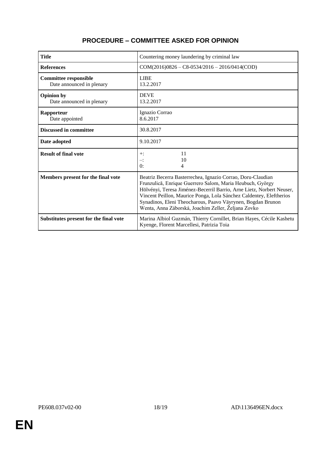| <b>Title</b>                                              | Countering money laundering by criminal law                                                                                                                                                                                                                                                                                                                                                    |
|-----------------------------------------------------------|------------------------------------------------------------------------------------------------------------------------------------------------------------------------------------------------------------------------------------------------------------------------------------------------------------------------------------------------------------------------------------------------|
| <b>References</b>                                         | $COM(2016)0826 - C8 - 0534/2016 - 2016/0414 (COD)$                                                                                                                                                                                                                                                                                                                                             |
| <b>Committee responsible</b><br>Date announced in plenary | <b>LIBE</b><br>13.2.2017                                                                                                                                                                                                                                                                                                                                                                       |
| <b>Opinion by</b><br>Date announced in plenary            | <b>DEVE</b><br>13.2.2017                                                                                                                                                                                                                                                                                                                                                                       |
| Rapporteur<br>Date appointed                              | Ignazio Corrao<br>8.6.2017                                                                                                                                                                                                                                                                                                                                                                     |
| <b>Discussed in committee</b>                             | 30.8.2017                                                                                                                                                                                                                                                                                                                                                                                      |
| Date adopted                                              | 9.10.2017                                                                                                                                                                                                                                                                                                                                                                                      |
| <b>Result of final vote</b>                               | 11<br>$+$ :<br>10<br>≕:<br>$\theta$ :<br>4                                                                                                                                                                                                                                                                                                                                                     |
| Members present for the final vote                        | Beatriz Becerra Basterrechea, Ignazio Corrao, Doru-Claudian<br>Frunzulică, Enrique Guerrero Salom, Maria Heubuch, György<br>Hölvényi, Teresa Jiménez-Becerril Barrio, Arne Lietz, Norbert Neuser,<br>Vincent Peillon, Maurice Ponga, Lola Sánchez Caldentey, Eleftherios<br>Synadinos, Eleni Theocharous, Paavo Väyrynen, Bogdan Brunon<br>Wenta, Anna Záborská, Joachim Zeller, Željana Zovko |
| Substitutes present for the final vote                    | Marina Albiol Guzmán, Thierry Cornillet, Brian Hayes, Cécile Kashetu<br>Kyenge, Florent Marcellesi, Patrizia Toia                                                                                                                                                                                                                                                                              |